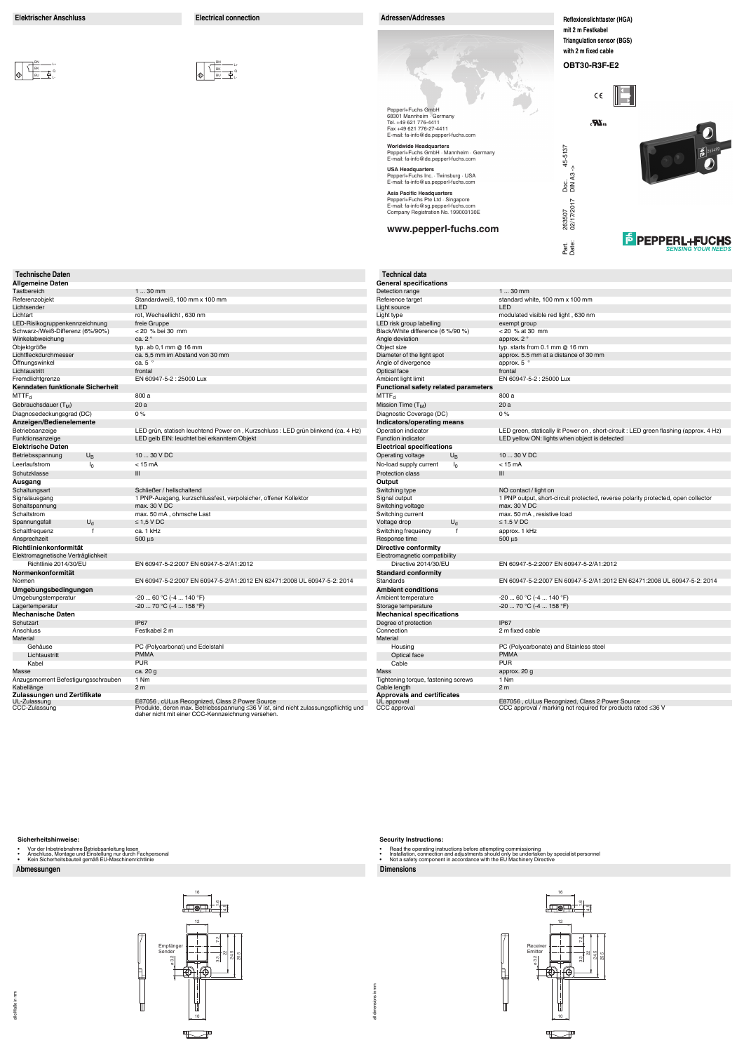#### **Abmessungen Dimensions**

#### **Sicherheitshinweise:**

- 
- Vor der Inbetriebnahme Betriebsanleitung lesen Anschluss, Montage und Einstellung nur durch Fachpersonal Kein Sicherheitsbauteil gemäß EU-Maschinenrichtlinie
- 

all dimensions in mm all dimensions in mm

#### **Security Instructions:**

- 
- Read the operating instructions before attempting commissioning<br>• Installation, connection and adjustments should only be undertaken by specialist personnel<br>• Not a safety component in accordance with the EU

悍

ከ



**Reflexionslichttaster (HGA) mit 2 m Festkabel Triangulation sensor (BGS) with 2 m fixed cable**

**OBT30-R3F-E2**

 $C \in$ 

 $\mathbf{R}$ 

| <b>Technische Daten</b><br><b>Allgemeine Daten</b> |              |                                                                                                                                       | <b>Technical data</b><br><b>General specific</b> |
|----------------------------------------------------|--------------|---------------------------------------------------------------------------------------------------------------------------------------|--------------------------------------------------|
| Tastbereich                                        |              | $130$ mm                                                                                                                              | Detection range                                  |
| Referenzobjekt                                     |              | Standardweiß, 100 mm x 100 mm                                                                                                         | Reference target                                 |
| Lichtsender                                        |              | LED                                                                                                                                   | Light source                                     |
| Lichtart                                           |              | rot, Wechsellicht, 630 nm                                                                                                             | Light type                                       |
| LED-Risikogruppenkennzeichnung                     |              | freie Gruppe                                                                                                                          | LED risk group lab                               |
| Schwarz-/Weiß-Differenz (6%/90%)                   |              | < 20 % bei 30 mm                                                                                                                      | Black/White differe                              |
| Winkelabweichung                                   |              | ca. 2°                                                                                                                                | Angle deviation                                  |
| Objektgröße                                        |              | typ. ab 0,1 mm @ 16 mm                                                                                                                | Object size                                      |
| Lichtfleckdurchmesser                              |              | ca. 5,5 mm im Abstand von 30 mm                                                                                                       | Diameter of the lig                              |
| Öffnungswinkel                                     |              | ca. $5^{\circ}$                                                                                                                       | Angle of divergenc                               |
| Lichtaustritt                                      |              | frontal                                                                                                                               | Optical face                                     |
| Fremdlichtgrenze                                   |              | EN 60947-5-2 : 25000 Lux                                                                                                              | Ambient light limit                              |
| Kenndaten funktionale Sicherheit                   |              |                                                                                                                                       | <b>Functional safet</b>                          |
| $MTTF_{d}$                                         |              | 800 a                                                                                                                                 | MTTF <sub>d</sub>                                |
| Gebrauchsdauer (T <sub>M</sub> )                   |              | 20a                                                                                                                                   | Mission Time $(T_M)$                             |
|                                                    |              | 0%                                                                                                                                    | Diagnostic Covera                                |
| Diagnosedeckungsgrad (DC)                          |              |                                                                                                                                       |                                                  |
| Anzeigen/Bedienelemente                            |              |                                                                                                                                       | Indicators/opera                                 |
| Betriebsanzeige                                    |              | LED grün, statisch leuchtend Power on, Kurzschluss: LED grün blinkend (ca. 4 Hz)<br>LED gelb EIN: leuchtet bei erkanntem Objekt       | Operation indicato<br><b>Function indicator</b>  |
| Funktionsanzeige                                   |              |                                                                                                                                       |                                                  |
| <b>Elektrische Daten</b>                           |              |                                                                                                                                       | <b>Electrical specif</b>                         |
| $U_{\text{B}}$<br>Betriebsspannung                 |              | 10  30 V DC                                                                                                                           | Operating voltage                                |
| Leerlaufstrom<br>I <sub>0</sub>                    |              | $< 15 \text{ mA}$                                                                                                                     | No-load supply cu                                |
| Schutzklasse                                       |              | III                                                                                                                                   | <b>Protection class</b>                          |
| Ausgang                                            |              |                                                                                                                                       | Output                                           |
| Schaltungsart                                      |              | Schließer / hellschaltend                                                                                                             | Switching type                                   |
| Signalausgang                                      |              | 1 PNP-Ausgang, kurzschlussfest, verpolsicher, offener Kollektor                                                                       | Signal output                                    |
| Schaltspannung                                     |              | max. 30 V DC                                                                                                                          | Switching voltage                                |
| Schaltstrom                                        |              | max. 50 mA, ohmsche Last                                                                                                              | Switching current                                |
| $U_d$<br>Spannungsfall                             |              | $\leq$ 1.5 V DC                                                                                                                       | Voltage drop                                     |
| Schaltfrequenz                                     | $\mathsf{f}$ | ca. 1 kHz                                                                                                                             | Switching frequen                                |
| Ansprechzeit                                       |              | $500 \,\mu s$                                                                                                                         | Response time                                    |
| Richtlinienkonformität                             |              |                                                                                                                                       | Directive confor                                 |
| Elektromagnetische Verträglichkeit                 |              |                                                                                                                                       | Electromagnetic co                               |
| Richtlinie 2014/30/EU                              |              | EN 60947-5-2:2007 EN 60947-5-2/A1:2012                                                                                                | Directive 201                                    |
| Normenkonformität                                  |              |                                                                                                                                       | Standard confor                                  |
| Normen                                             |              | EN 60947-5-2:2007 EN 60947-5-2/A1:2012 EN 62471:2008 UL 60947-5-2: 2014                                                               | <b>Standards</b>                                 |
| Umgebungsbedingungen                               |              |                                                                                                                                       | <b>Ambient conditi</b>                           |
| Umgebungstemperatur                                |              | $-2060 °C (-4140 °F)$                                                                                                                 | Ambient temperatu                                |
| Lagertemperatur                                    |              | $-2070 °C (-4158 °F)$                                                                                                                 | Storage temperatu                                |
| <b>Mechanische Daten</b>                           |              |                                                                                                                                       | <b>Mechanical spe</b>                            |
| Schutzart                                          |              | IP67                                                                                                                                  | Degree of protection                             |
| Anschluss                                          |              | Festkabel 2 m                                                                                                                         | Connection                                       |
| Material                                           |              |                                                                                                                                       | Material                                         |
| Gehäuse                                            |              | PC (Polycarbonat) und Edelstahl                                                                                                       | Housing                                          |
| Lichtaustritt                                      |              | <b>PMMA</b>                                                                                                                           | Optical face                                     |
| Kabel                                              |              | <b>PUR</b>                                                                                                                            | Cable                                            |
| Masse                                              |              | ca. 20 g                                                                                                                              | Mass                                             |
| Anzugsmoment Befestigungsschrauben                 |              | 1 Nm                                                                                                                                  | Tightening torque,                               |
| Kabellänge                                         |              | 2 <sub>m</sub>                                                                                                                        | Cable length                                     |
| Zulassungen und Zertifikate                        |              |                                                                                                                                       | Approvals and o                                  |
| UL-Zulassung<br>CCC-Zulassung                      |              | E87056, cULus Recognized, Class 2 Power Source<br>Produkte, deren max. Betriebsspannung ≤36 V ist, sind nicht zulassungspflichtig und | UL approval<br>CCC approval                      |
|                                                    |              | daher nicht mit einer CCC-Kennzeichnung versehen.                                                                                     |                                                  |



<u>BN</u> \_\_\_\_\_ <sub>L+</sub> L-Q

BN \_\_\_\_\_\_\_ L+ L-Q





| <b>Worldwide Headquarters</b><br>Pepperl+Fuchs GmbH · Mannheim · Germany<br>E-mail: fa-info@de.pepperl-fuchs.com | 45-5137<br>$\mathbf{E}^{263499}$                                                      |  |  |
|------------------------------------------------------------------------------------------------------------------|---------------------------------------------------------------------------------------|--|--|
| <b>USA Headquarters</b><br>Pepperl+Fuchs Inc. Twinsburg USA<br>E-mail: fa-info@us.pepperl-fuchs.com              | Doc.<br>DIN A3                                                                        |  |  |
| <b>Asia Pacific Headquarters</b>                                                                                 |                                                                                       |  |  |
| Pepperl+Fuchs Pte Ltd · Singapore<br>E-mail: fa-info@sg.pepperl-fuchs.com<br>Company Registration No. 199003130E | 02/17/2017                                                                            |  |  |
|                                                                                                                  | 263507                                                                                |  |  |
| www.pepperl-fuchs.com                                                                                            | <b>E</b> PEPPERL+FUCHS                                                                |  |  |
|                                                                                                                  | Part.<br>Date:<br><b>SENSING YOUR NEEDS</b>                                           |  |  |
| <b>Technical data</b><br><b>General specifications</b>                                                           |                                                                                       |  |  |
| Detection range                                                                                                  | $130$ mm                                                                              |  |  |
| Reference target                                                                                                 | standard white, 100 mm x 100 mm                                                       |  |  |
| Light source                                                                                                     | LED                                                                                   |  |  |
| Light type                                                                                                       | modulated visible red light, 630 nm                                                   |  |  |
| LED risk group labelling<br>Black/White difference (6 %/90 %)                                                    | exempt group<br>$< 20$ % at 30 mm                                                     |  |  |
| Angle deviation                                                                                                  | approx. $2^{\circ}$                                                                   |  |  |
| Object size                                                                                                      | typ. starts from 0.1 mm $@$ 16 mm                                                     |  |  |
| Diameter of the light spot                                                                                       | approx. 5.5 mm at a distance of 30 mm                                                 |  |  |
| Angle of divergence                                                                                              | approx. $5^{\circ}$                                                                   |  |  |
| <b>Optical face</b><br>Ambient light limit                                                                       | frontal<br>EN 60947-5-2 : 25000 Lux                                                   |  |  |
| Functional safety related parameters                                                                             |                                                                                       |  |  |
| MTTF <sub>d</sub>                                                                                                | 800 a                                                                                 |  |  |
| Mission Time (T <sub>M</sub> )                                                                                   | 20a                                                                                   |  |  |
| Diagnostic Coverage (DC)                                                                                         | $0\%$                                                                                 |  |  |
| Indicators/operating means                                                                                       |                                                                                       |  |  |
| Operation indicator                                                                                              | LED green, statically lit Power on, short-circuit : LED green flashing (approx. 4 Hz) |  |  |
| <b>Function indicator</b><br><b>Electrical specifications</b>                                                    | LED yellow ON: lights when object is detected                                         |  |  |
| Operating voltage<br>U <sub>B</sub>                                                                              | 10  30 V DC                                                                           |  |  |
| No-load supply current<br>I <sub>0</sub>                                                                         | $< 15 \text{ mA}$                                                                     |  |  |
| <b>Protection class</b>                                                                                          | III                                                                                   |  |  |
| Output                                                                                                           |                                                                                       |  |  |
| Switching type                                                                                                   | NO contact / light on                                                                 |  |  |
| Signal output                                                                                                    | 1 PNP output, short-circuit protected, reverse polarity protected, open collector     |  |  |
| Switching voltage                                                                                                | max. 30 V DC                                                                          |  |  |
| Switching current<br>Voltage drop<br>U <sub>d</sub>                                                              | max. 50 mA, resistive load<br>$\leq$ 1.5 V DC                                         |  |  |
| Switching frequency<br>f                                                                                         | approx. 1 kHz                                                                         |  |  |
| Response time                                                                                                    | 500 µs                                                                                |  |  |
| <b>Directive conformity</b>                                                                                      |                                                                                       |  |  |
| Electromagnetic compatibility                                                                                    |                                                                                       |  |  |
| Directive 2014/30/EU                                                                                             | EN 60947-5-2:2007 EN 60947-5-2/A1:2012                                                |  |  |
| <b>Standard conformity</b><br>Standards                                                                          | EN 60947-5-2:2007 EN 60947-5-2/A1:2012 EN 62471:2008 UL 60947-5-2: 2014               |  |  |
| <b>Ambient conditions</b>                                                                                        |                                                                                       |  |  |
| Ambient temperature                                                                                              | $-2060 °C (-4140 °F)$                                                                 |  |  |
| Storage temperature                                                                                              | $-20$ 70 °C (-4  158 °F)                                                              |  |  |
| <b>Mechanical specifications</b>                                                                                 |                                                                                       |  |  |
| Degree of protection                                                                                             | IP67                                                                                  |  |  |
| Connection<br>Material                                                                                           | 2 m fixed cable                                                                       |  |  |
| Housing                                                                                                          | PC (Polycarbonate) and Stainless steel                                                |  |  |
| Optical face                                                                                                     | <b>PMMA</b>                                                                           |  |  |
| Cable                                                                                                            | <b>PUR</b>                                                                            |  |  |
| Mass                                                                                                             | approx. 20 g                                                                          |  |  |
| Tightening torque, fastening screws                                                                              | 1 Nm                                                                                  |  |  |
| Cable length                                                                                                     | 2 <sub>m</sub>                                                                        |  |  |
| <b>Approvals and certificates</b><br>UL approval                                                                 | E87056, cULus Recognized, Class 2 Power Source                                        |  |  |
| CCC approval                                                                                                     | CCC approval / marking not required for products rated $\leq$ 36 V                    |  |  |

BK BU

BK BU